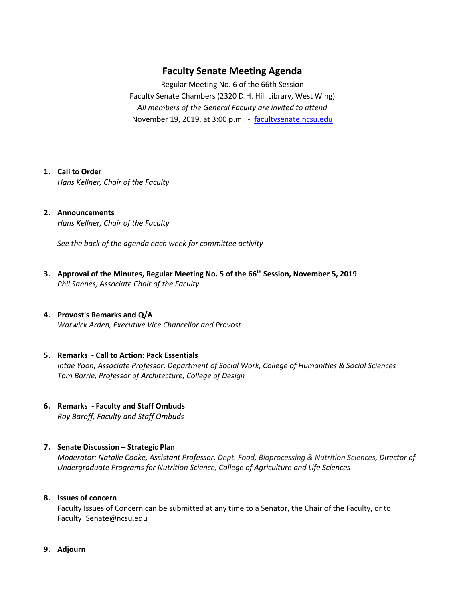# **Faculty Senate Meeting Agenda**

Regular Meeting No. 6 of the 66th Session Faculty Senate Chambers (2320 D.H. Hill Library, West Wing) *All members of the General Faculty are invited to attend* November 19, 2019, at 3:00 p.m. - [facultysenate.ncsu.edu](https://facultysenate.ncsu.edu/)

#### **1. Call to Order**

*Hans Kellner, Chair of the Faculty*

# **2. Announcements**

*Hans Kellner, Chair of the Faculty*

*See the back of the agenda each week for committee activity* 

**3. Approval of the Minutes, Regular Meeting No. 5 of the 66th Session, November 5, 2019** *Phil Sannes, Associate Chair of the Faculty*

#### **4. Provost's Remarks and Q/A** *Warwick Arden, Executive Vice Chancellor and Provost*

## **5. Remarks - Call to Action: Pack Essentials**  *Intae Yoon, Associate Professor, Department of Social Work, College of Humanities & Social Sciences Tom Barrie, Professor of Architecture, College of Design*

**6. Remarks - Faculty and Staff Ombuds** *Roy Baroff, Faculty and Staff Ombuds*

## **7. Senate Discussion – Strategic Plan**

*Moderator: Natalie Cooke, Assistant Professor, Dept. Food, Bioprocessing & Nutrition Sciences, Director of Undergraduate Programs for Nutrition Science, College of Agriculture and Life Sciences* 

## **8. Issues of concern**

Faculty Issues of Concern can be submitted at any time to a Senator, the Chair of the Faculty, or to [Faculty\\_Senate@ncsu.edu](mailto:Faculty_Senate@ncsu.edu)

**9. Adjourn**